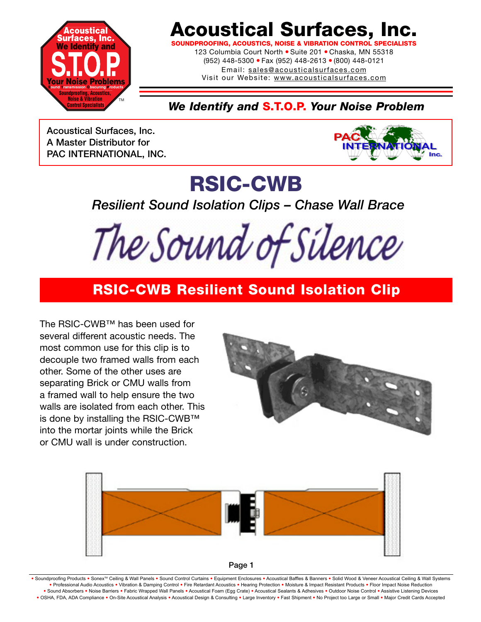

## **Acoustical Surfaces, Inc.**

**SOUNDPROOFING, ACOUSTICS, NOISE & VIBRATION CONTROL SPECIALISTS**

123 Columbia Court North · Suite 201 · Chaska, MN 55318 (952) 448-5300 ● Fax (952) 448-2613 ● (800) 448-0121 Email: sales@acousticalsurfaces.com

Visit our Website: www.acousticalsurfaces.com

*We Identify and* **S.T.O.P.** *Your Noise Problem*

**Acoustical Surfaces, Inc. A Master Distributor for PAC INTERNATIONAL, INC.**



# **RSIC-CWB**

*Resilient Sound Isolation Clips – Chase Wall Brace*

The Sound of Silence

#### **RSIC-CWB Resilient Sound Isolation Clip**

The RSIC-CWB™ has been used for several different acoustic needs. The most common use for this clip is to decouple two framed walls from each other. Some of the other uses are separating Brick or CMU walls from a framed wall to help ensure the two walls are isolated from each other. This is done by installing the RSIC-CWB™ into the mortar joints while the Brick or CMU wall is under construction.







Soundproofing Products . Sonex™ Ceiling & Wall Panels . Sound Control Curtains . Equipment Enclosures . Acoustical Baffles & Banners . Solid Wood & Veneer Acoustical Ceiling & Wall Systems **•** Professional Audio Acoustics **•** Vibration & Damping Control **•** Fire Retardant Acoustics **•** Hearing Protection **•** Moisture & Impact Resistant Products **•** Floor Impact Noise Reduction Sound Absorbers . Noise Barriers . Fabric Wrapped Wall Panels . Acoustical Foam (Egg Crate) . Acoustical Sealants & Adhesives . Outdoor Noise Control . Assistive Listening Devices . OSHA, FDA, ADA Compliance . On-Site Acoustical Analysis . Acoustical Design & Consulting . Large Inventory . Fast Shipment . No Project too Large or Small . Major Credit Cards Accepted